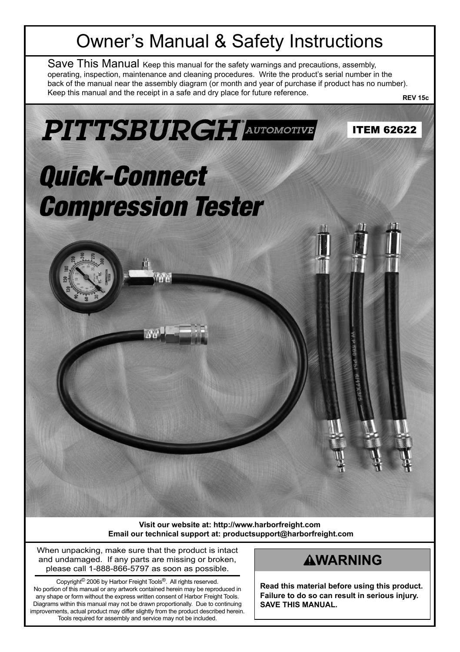## Owner's Manual & Safety Instructions

Save This Manual Keep this manual for the safety warnings and precautions, assembly, operating, inspection, maintenance and cleaning procedures. Write the product's serial number in the back of the manual near the assembly diagram (or month and year of purchase if product has no number). Keep this manual and the receipt in a safe and dry place for future reference. **REV 15c**



**Visit our website at: http://www.harborfreight.com Email our technical support at: productsupport@harborfreight.com**

When unpacking, make sure that the product is intact and undamaged. If any parts are missing or broken, please call 1-888-866-5797 as soon as possible.

Copyright© 2006 by Harbor Freight Tools®. All rights reserved. No portion of this manual or any artwork contained herein may be reproduced in any shape or form without the express written consent of Harbor Freight Tools. Diagrams within this manual may not be drawn proportionally. Due to continuing improvements, actual product may differ slightly from the product described herein. Tools required for assembly and service may not be included.

#### **AWARNING**

**Read this material before using this product. Failure to do so can result in serious injury. SAVE THIS MANUAL.**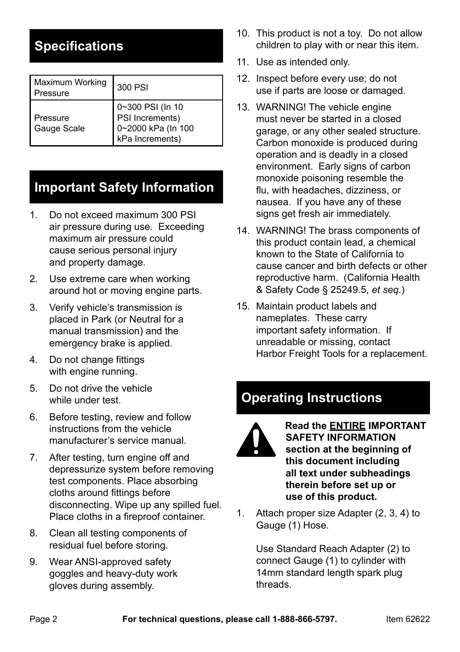### **Specifications**

| Maximum Working<br>Pressure | 300 PSI                                                                      |
|-----------------------------|------------------------------------------------------------------------------|
| Pressure<br>Gauge Scale     | 0~300 PSI (In 10<br>PSI Increments)<br>0~2000 kPa (In 100<br>kPa Increments) |

### **Important Safety Information**

- 1. Do not exceed maximum 300 PSI air pressure during use. Exceeding maximum air pressure could cause serious personal injury and property damage.
- 2. Use extreme care when working around hot or moving engine parts.
- 3. Verify vehicle's transmission is placed in Park (or Neutral for a manual transmission) and the emergency brake is applied.
- 4. Do not change fittings with engine running.
- 5. Do not drive the vehicle while under test.
- 6. Before testing, review and follow instructions from the vehicle manufacturer's service manual.
- 7. After testing, turn engine off and depressurize system before removing test components. Place absorbing cloths around fittings before disconnecting. Wipe up any spilled fuel. Place cloths in a fireproof container.
- 8. Clean all testing components of residual fuel before storing.
- 9. Wear ANSI-approved safety goggles and heavy-duty work gloves during assembly.
- 10. This product is not a toy. Do not allow children to play with or near this item.
- 11. Use as intended only.
- 12. Inspect before every use; do not use if parts are loose or damaged.
- 13. WARNING! The vehicle engine must never be started in a closed garage, or any other sealed structure. Carbon monoxide is produced during operation and is deadly in a closed environment. Early signs of carbon monoxide poisoning resemble the flu, with headaches, dizziness, or nausea. If you have any of these signs get fresh air immediately.
- 14. WARNING! The brass components of this product contain lead, a chemical known to the State of California to cause cancer and birth defects or other reproductive harm. (California Health & Safety Code § 25249.5, *et seq.*)
- 15. Maintain product labels and nameplates. These carry important safety information. If unreadable or missing, contact Harbor Freight Tools for a replacement.

## **Operating Instructions**



#### **Read the ENTIRE IMPORTANT SAFETY INFORMATION section at the beginning of this document including all text under subheadings therein before set up or use of this product.**

1. Attach proper size Adapter (2, 3, 4) to Gauge (1) Hose.

> Use Standard Reach Adapter (2) to connect Gauge (1) to cylinder with 14mm standard length spark plug threads.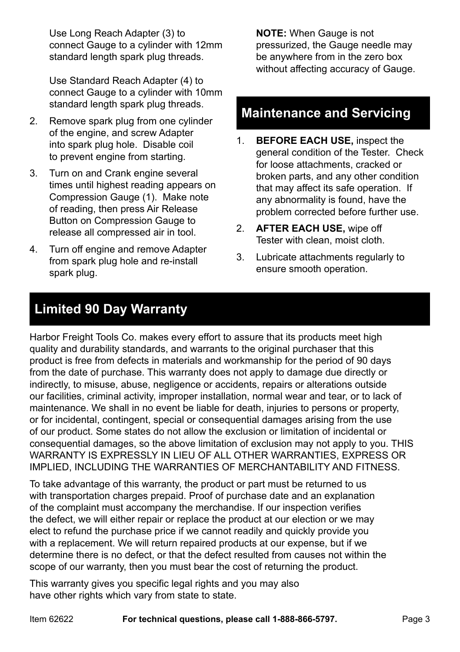Use Long Reach Adapter (3) to connect Gauge to a cylinder with 12mm standard length spark plug threads.

Use Standard Reach Adapter (4) to connect Gauge to a cylinder with 10mm standard length spark plug threads.

- 2. Remove spark plug from one cylinder of the engine, and screw Adapter into spark plug hole. Disable coil to prevent engine from starting.
- 3. Turn on and Crank engine several times until highest reading appears on Compression Gauge (1). Make note of reading, then press Air Release Button on Compression Gauge to release all compressed air in tool.
- 4. Turn off engine and remove Adapter from spark plug hole and re-install spark plug.

**NOTE:** When Gauge is not pressurized, the Gauge needle may be anywhere from in the zero box without affecting accuracy of Gauge.

#### **Maintenance and Servicing**

- 1. **BEFORE EACH USE,** inspect the general condition of the Tester. Check for loose attachments, cracked or broken parts, and any other condition that may affect its safe operation. If any abnormality is found, have the problem corrected before further use.
- 2. **AFTER EACH USE,** wipe off Tester with clean, moist cloth.
- 3. Lubricate attachments regularly to ensure smooth operation.

#### **Limited 90 Day Warranty**

Harbor Freight Tools Co. makes every effort to assure that its products meet high quality and durability standards, and warrants to the original purchaser that this product is free from defects in materials and workmanship for the period of 90 days from the date of purchase. This warranty does not apply to damage due directly or indirectly, to misuse, abuse, negligence or accidents, repairs or alterations outside our facilities, criminal activity, improper installation, normal wear and tear, or to lack of maintenance. We shall in no event be liable for death, injuries to persons or property, or for incidental, contingent, special or consequential damages arising from the use of our product. Some states do not allow the exclusion or limitation of incidental or consequential damages, so the above limitation of exclusion may not apply to you. THIS WARRANTY IS EXPRESSLY IN LIEU OF ALL OTHER WARRANTIES, EXPRESS OR IMPLIED, INCLUDING THE WARRANTIES OF MERCHANTABILITY AND FITNESS.

To take advantage of this warranty, the product or part must be returned to us with transportation charges prepaid. Proof of purchase date and an explanation of the complaint must accompany the merchandise. If our inspection verifies the defect, we will either repair or replace the product at our election or we may elect to refund the purchase price if we cannot readily and quickly provide you with a replacement. We will return repaired products at our expense, but if we determine there is no defect, or that the defect resulted from causes not within the scope of our warranty, then you must bear the cost of returning the product.

This warranty gives you specific legal rights and you may also have other rights which vary from state to state.